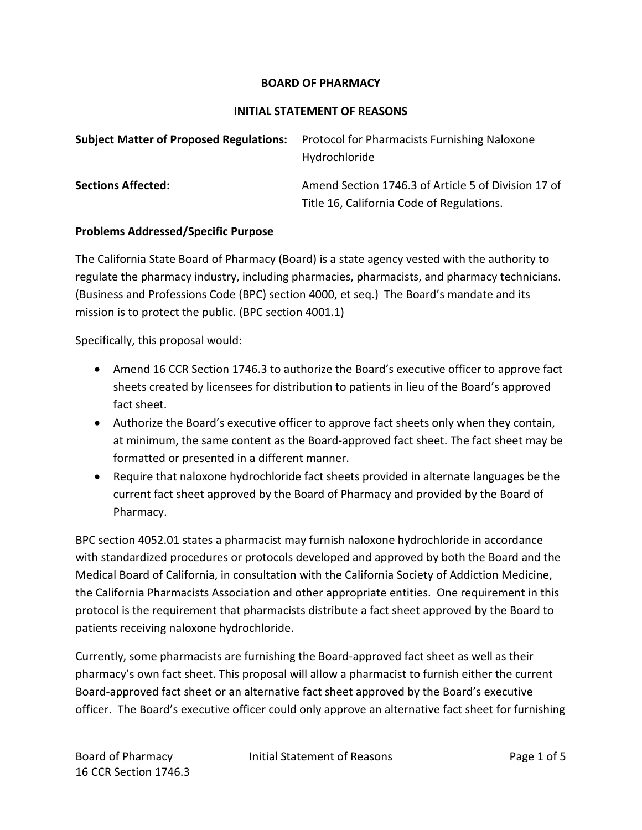### **BOARD OF PHARMACY**

#### **INITIAL STATEMENT OF REASONS**

| <b>Subject Matter of Proposed Regulations:</b> | <b>Protocol for Pharmacists Furnishing Naloxone</b><br>Hydrochloride                             |
|------------------------------------------------|--------------------------------------------------------------------------------------------------|
| <b>Sections Affected:</b>                      | Amend Section 1746.3 of Article 5 of Division 17 of<br>Title 16, California Code of Regulations. |

#### **Problems Addressed/Specific Purpose**

The California State Board of Pharmacy (Board) is a state agency vested with the authority to regulate the pharmacy industry, including pharmacies, pharmacists, and pharmacy technicians. (Business and Professions Code (BPC) section 4000, et seq.) The Board's mandate and its mission is to protect the public. (BPC section 4001.1)

Specifically, this proposal would:

- Amend 16 CCR Section 1746.3 to authorize the Board's executive officer to approve fact sheets created by licensees for distribution to patients in lieu of the Board's approved fact sheet.
- Authorize the Board's executive officer to approve fact sheets only when they contain, at minimum, the same content as the Board-approved fact sheet. The fact sheet may be formatted or presented in a different manner.
- Require that naloxone hydrochloride fact sheets provided in alternate languages be the current fact sheet approved by the Board of Pharmacy and provided by the Board of Pharmacy.

BPC section 4052.01 states a pharmacist may furnish naloxone hydrochloride in accordance with standardized procedures or protocols developed and approved by both the Board and the Medical Board of California, in consultation with the California Society of Addiction Medicine, the California Pharmacists Association and other appropriate entities. One requirement in this protocol is the requirement that pharmacists distribute a fact sheet approved by the Board to patients receiving naloxone hydrochloride.

Currently, some pharmacists are furnishing the Board-approved fact sheet as well as their pharmacy's own fact sheet. This proposal will allow a pharmacist to furnish either the current Board-approved fact sheet or an alternative fact sheet approved by the Board's executive officer. The Board's executive officer could only approve an alternative fact sheet for furnishing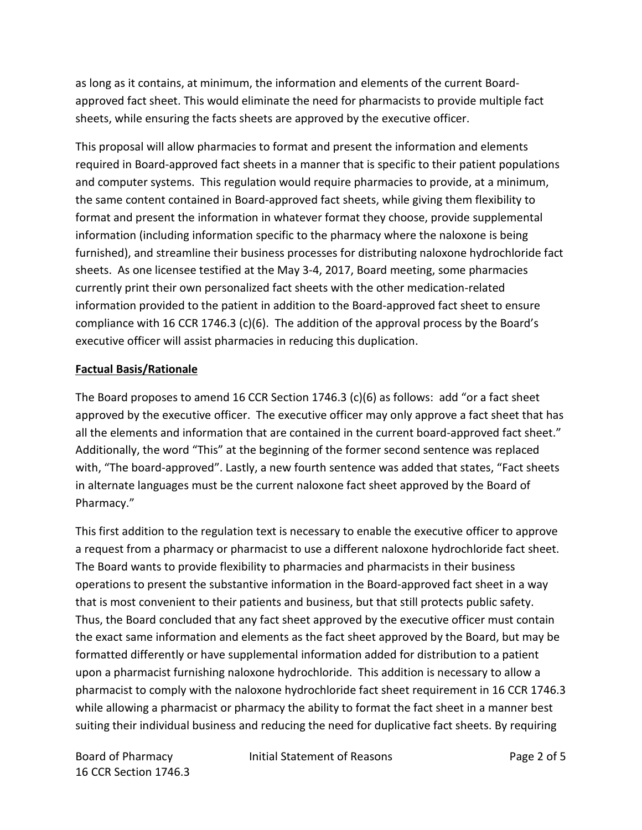as long as it contains, at minimum, the information and elements of the current Boardapproved fact sheet. This would eliminate the need for pharmacists to provide multiple fact sheets, while ensuring the facts sheets are approved by the executive officer.

This proposal will allow pharmacies to format and present the information and elements required in Board-approved fact sheets in a manner that is specific to their patient populations and computer systems. This regulation would require pharmacies to provide, at a minimum, the same content contained in Board-approved fact sheets, while giving them flexibility to format and present the information in whatever format they choose, provide supplemental information (including information specific to the pharmacy where the naloxone is being furnished), and streamline their business processes for distributing naloxone hydrochloride fact sheets. As one licensee testified at the May 3-4, 2017, Board meeting, some pharmacies currently print their own personalized fact sheets with the other medication-related information provided to the patient in addition to the Board-approved fact sheet to ensure compliance with 16 CCR 1746.3 (c)(6). The addition of the approval process by the Board's executive officer will assist pharmacies in reducing this duplication.

### **Factual Basis/Rationale**

The Board proposes to amend 16 CCR Section 1746.3 (c)(6) as follows: add "or a fact sheet approved by the executive officer. The executive officer may only approve a fact sheet that has all the elements and information that are contained in the current board-approved fact sheet." Additionally, the word "This" at the beginning of the former second sentence was replaced with, "The board-approved". Lastly, a new fourth sentence was added that states, "Fact sheets in alternate languages must be the current naloxone fact sheet approved by the Board of Pharmacy."

This first addition to the regulation text is necessary to enable the executive officer to approve a request from a pharmacy or pharmacist to use a different naloxone hydrochloride fact sheet. The Board wants to provide flexibility to pharmacies and pharmacists in their business operations to present the substantive information in the Board-approved fact sheet in a way that is most convenient to their patients and business, but that still protects public safety. Thus, the Board concluded that any fact sheet approved by the executive officer must contain the exact same information and elements as the fact sheet approved by the Board, but may be formatted differently or have supplemental information added for distribution to a patient upon a pharmacist furnishing naloxone hydrochloride. This addition is necessary to allow a pharmacist to comply with the naloxone hydrochloride fact sheet requirement in 16 CCR 1746.3 while allowing a pharmacist or pharmacy the ability to format the fact sheet in a manner best suiting their individual business and reducing the need for duplicative fact sheets. By requiring

16 CCR Section 1746.3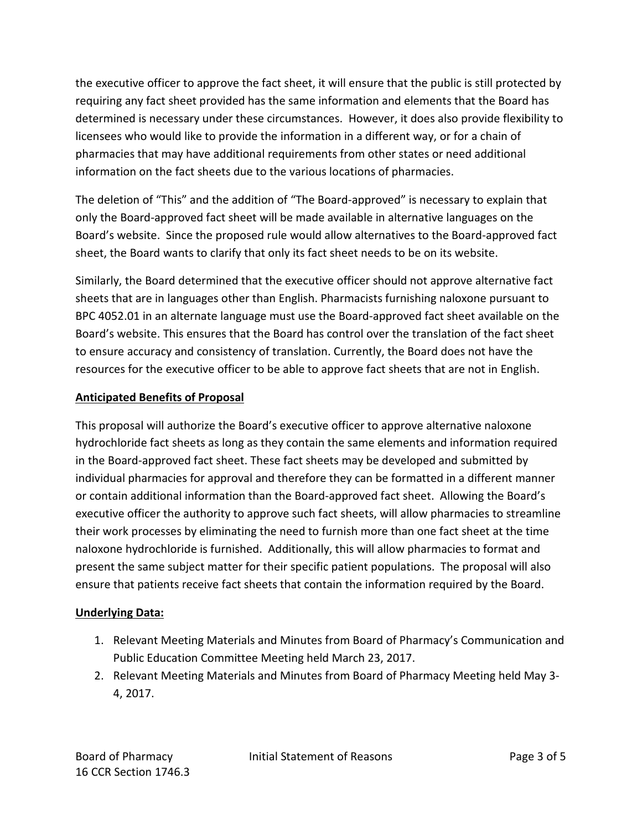the executive officer to approve the fact sheet, it will ensure that the public is still protected by requiring any fact sheet provided has the same information and elements that the Board has determined is necessary under these circumstances. However, it does also provide flexibility to licensees who would like to provide the information in a different way, or for a chain of pharmacies that may have additional requirements from other states or need additional information on the fact sheets due to the various locations of pharmacies.

The deletion of "This" and the addition of "The Board-approved" is necessary to explain that only the Board-approved fact sheet will be made available in alternative languages on the Board's website. Since the proposed rule would allow alternatives to the Board-approved fact sheet, the Board wants to clarify that only its fact sheet needs to be on its website.

Similarly, the Board determined that the executive officer should not approve alternative fact sheets that are in languages other than English. Pharmacists furnishing naloxone pursuant to BPC 4052.01 in an alternate language must use the Board-approved fact sheet available on the Board's website. This ensures that the Board has control over the translation of the fact sheet to ensure accuracy and consistency of translation. Currently, the Board does not have the resources for the executive officer to be able to approve fact sheets that are not in English.

## **Anticipated Benefits of Proposal**

This proposal will authorize the Board's executive officer to approve alternative naloxone hydrochloride fact sheets as long as they contain the same elements and information required in the Board-approved fact sheet. These fact sheets may be developed and submitted by individual pharmacies for approval and therefore they can be formatted in a different manner or contain additional information than the Board-approved fact sheet. Allowing the Board's executive officer the authority to approve such fact sheets, will allow pharmacies to streamline their work processes by eliminating the need to furnish more than one fact sheet at the time naloxone hydrochloride is furnished. Additionally, this will allow pharmacies to format and present the same subject matter for their specific patient populations. The proposal will also ensure that patients receive fact sheets that contain the information required by the Board.

## **Underlying Data:**

- 1. Relevant Meeting Materials and Minutes from Board of Pharmacy's Communication and Public Education Committee Meeting held March 23, 2017.
- 2. Relevant Meeting Materials and Minutes from Board of Pharmacy Meeting held May 3- 4, 2017.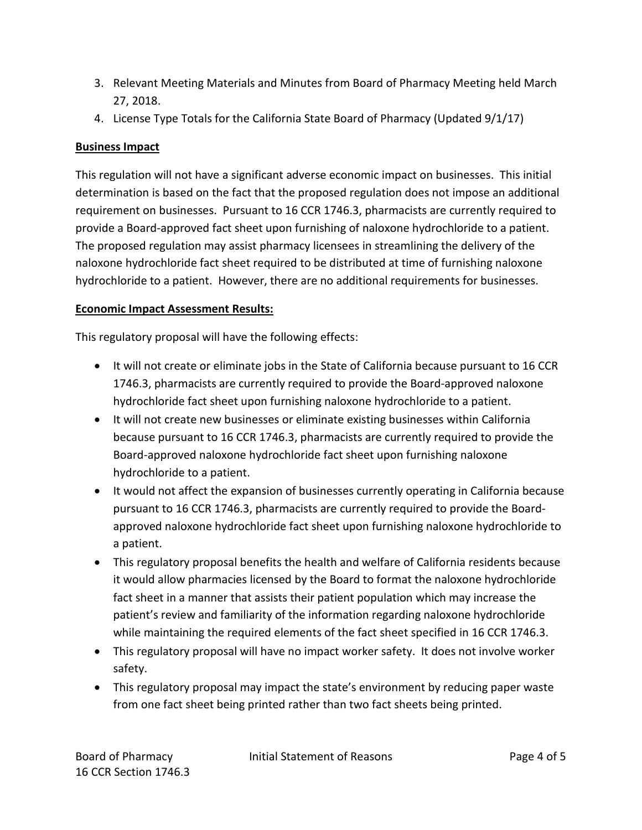- 3. Relevant Meeting Materials and Minutes from Board of Pharmacy Meeting held March 27, 2018.
- 4. License Type Totals for the California State Board of Pharmacy (Updated 9/1/17)

# **Business Impact**

This regulation will not have a significant adverse economic impact on businesses. This initial determination is based on the fact that the proposed regulation does not impose an additional requirement on businesses. Pursuant to 16 CCR 1746.3, pharmacists are currently required to provide a Board-approved fact sheet upon furnishing of naloxone hydrochloride to a patient. The proposed regulation may assist pharmacy licensees in streamlining the delivery of the naloxone hydrochloride fact sheet required to be distributed at time of furnishing naloxone hydrochloride to a patient. However, there are no additional requirements for businesses.

# **Economic Impact Assessment Results:**

This regulatory proposal will have the following effects:

- It will not create or eliminate jobs in the State of California because pursuant to 16 CCR 1746.3, pharmacists are currently required to provide the Board-approved naloxone hydrochloride fact sheet upon furnishing naloxone hydrochloride to a patient.
- It will not create new businesses or eliminate existing businesses within California because pursuant to 16 CCR 1746.3, pharmacists are currently required to provide the Board-approved naloxone hydrochloride fact sheet upon furnishing naloxone hydrochloride to a patient.
- It would not affect the expansion of businesses currently operating in California because pursuant to 16 CCR 1746.3, pharmacists are currently required to provide the Boardapproved naloxone hydrochloride fact sheet upon furnishing naloxone hydrochloride to a patient.
- This regulatory proposal benefits the health and welfare of California residents because it would allow pharmacies licensed by the Board to format the naloxone hydrochloride fact sheet in a manner that assists their patient population which may increase the patient's review and familiarity of the information regarding naloxone hydrochloride while maintaining the required elements of the fact sheet specified in 16 CCR 1746.3.
- This regulatory proposal will have no impact worker safety. It does not involve worker safety.
- This regulatory proposal may impact the state's environment by reducing paper waste from one fact sheet being printed rather than two fact sheets being printed.